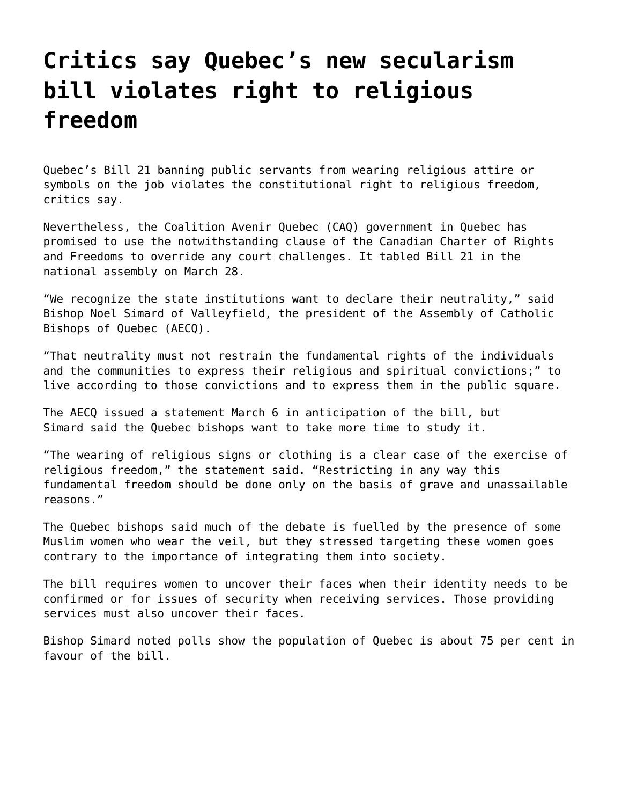## **[Critics say Quebec's new secularism](https://grandinmedia.ca/critics-say-quebecs-new-secularism-bill-violates-right-religious-freedom/) [bill violates right to religious](https://grandinmedia.ca/critics-say-quebecs-new-secularism-bill-violates-right-religious-freedom/) [freedom](https://grandinmedia.ca/critics-say-quebecs-new-secularism-bill-violates-right-religious-freedom/)**

Quebec's Bill 21 banning public servants from wearing religious attire or symbols on the job violates the constitutional right to religious freedom, critics say.

Nevertheless, the Coalition Avenir Quebec (CAQ) government in Quebec has promised to use the notwithstanding clause of the [Canadian Charter of Rights](https://laws-lois.justice.gc.ca/eng/Const/Const_index.html) [and Freedoms t](https://laws-lois.justice.gc.ca/eng/Const/Const_index.html)o override any court challenges. It tabled Bill 21 in the national assembly on March 28.

"We recognize the state institutions want to declare their neutrality," said Bishop Noel Simard of Valleyfield, the president of the Assembly of Catholic Bishops of Quebec (AECQ).

"That neutrality must not restrain the fundamental rights of the individuals and the communities to express their religious and spiritual convictions;" to live according to those convictions and to express them in the public square.

The AECQ issued a statement March 6 in anticipation of the bill, but Simard said the Quebec bishops want to take more time to study it.

"The wearing of religious signs or clothing is a clear case of the exercise of religious freedom," the statement said. "Restricting in any way this fundamental freedom should be done only on the basis of grave and unassailable reasons."

The Quebec bishops said much of the debate is fuelled by the presence of some Muslim women who wear the veil, but they stressed targeting these women goes contrary to the importance of integrating them into society.

The bill requires women to uncover their faces when their identity needs to be confirmed or for issues of security when receiving services. Those providing services must also uncover their faces.

Bishop Simard noted polls show the population of Quebec is about 75 per cent in favour of the bill.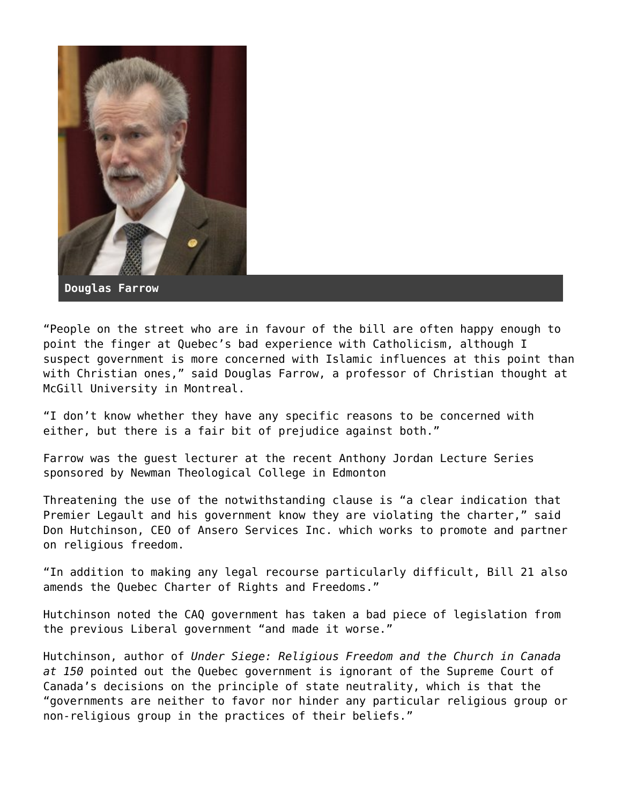

**Douglas Farrow**

"People on the street who are in favour of the bill are often happy enough to point the finger at Quebec's bad experience with Catholicism, although I suspect government is more concerned with Islamic influences at this point than with Christian ones," said Douglas Farrow, a professor of Christian thought at McGill University in Montreal.

"I don't know whether they have any specific reasons to be concerned with either, but there is a fair bit of prejudice against both."

[Farrow](https://grandinmedia.ca/catholics-must-stand-speak-fear-not/) was the guest lecturer at the recent Anthony Jordan Lecture Series sponsored by [Newman Theological College](https://www.newman.edu/) in Edmonton

Threatening the use of the notwithstanding clause is "a clear indication that Premier Legault and his government know they are violating the charter," said Don Hutchinson, CEO of Ansero Services Inc. which works to promote and partner on religious freedom.

"In addition to making any legal recourse particularly difficult, Bill 21 also amends the Quebec Charter of Rights and Freedoms."

Hutchinson noted the CAQ government has taken a bad piece of legislation from the previous Liberal government "and made it worse."

Hutchinson, author of *Under Siege: Religious Freedom and the Church in Canada at 150* pointed out the Quebec government is ignorant of the Supreme Court of Canada's decisions on the principle of state neutrality, which is that the "governments are neither to favor nor hinder any particular religious group or non-religious group in the practices of their beliefs."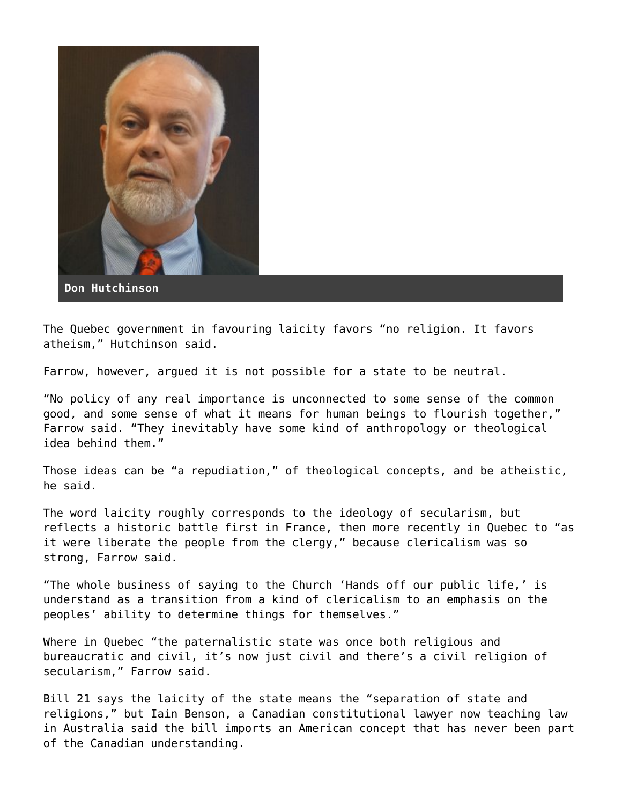

**Don Hutchinson**

The Quebec government in favouring laicity favors "no religion. It favors atheism," Hutchinson said.

Farrow, however, argued it is not possible for a state to be neutral.

"No policy of any real importance is unconnected to some sense of the common good, and some sense of what it means for human beings to flourish together," Farrow said. "They inevitably have some kind of anthropology or theological idea behind them."

Those ideas can be "a repudiation," of theological concepts, and be atheistic, he said.

The word laicity roughly corresponds to the ideology of secularism, but reflects a historic battle first in France, then more recently in Quebec to "as it were liberate the people from the clergy," because clericalism was so strong, Farrow said.

"The whole business of saying to the Church 'Hands off our public life,' is understand as a transition from a kind of clericalism to an emphasis on the peoples' ability to determine things for themselves."

Where in Quebec "the paternalistic state was once both religious and bureaucratic and civil, it's now just civil and there's a civil religion of secularism," Farrow said.

Bill 21 says the laicity of the state means the "separation of state and religions," but Iain Benson, a Canadian constitutional lawyer now teaching law in Australia said the bill imports an American concept that has never been part of the Canadian understanding.